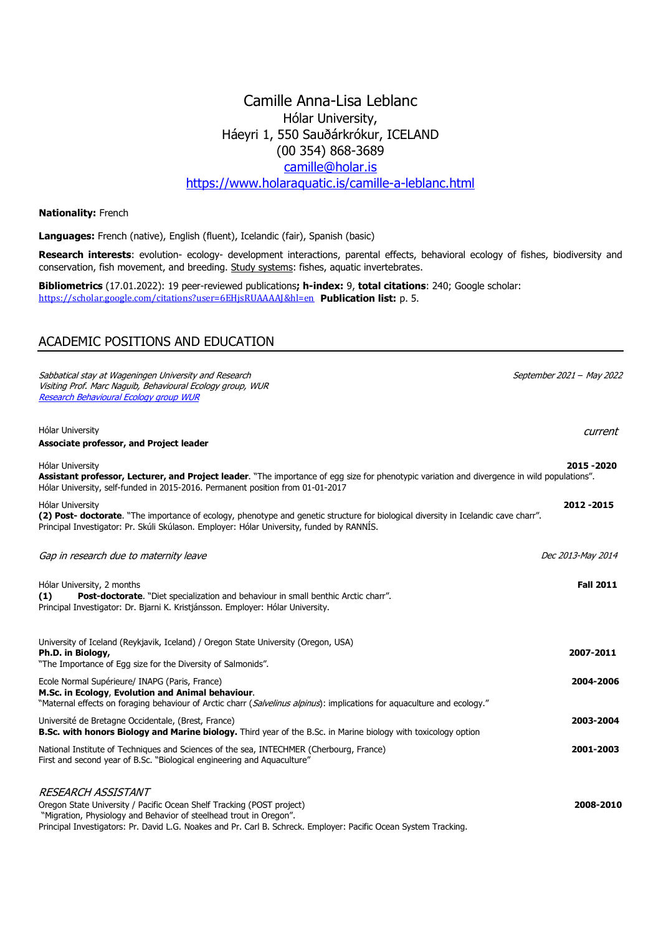# Camille Anna-Lisa Leblanc Hólar University, Háeyri 1, 550 Sauðárkrókur, ICELAND (00 354) 868-3689 camille@holar.is

https://www.holaraquatic.is/camille-a-leblanc.html

**Nationality: French** 

Languages: French (native), English (fluent), Icelandic (fair), Spanish (basic)

Research interests: evolution- ecology- development interactions, parental effects, behavioral ecology of fishes, biodiversity and conservation, fish movement, and breeding. Study systems: fishes, aquatic invertebrates.

Bibliometrics (17.01.2022): 19 peer-reviewed publications; h-index: 9, total citations: 240; Google scholar: https://scholar.google.com/citations?user=6EHjsRUAAAAJ&hl=en Publication list: p. 5.

# ACADEMIC POSITIONS AND EDUCATION

Sabbatical stay at Wageningen University and Research Sabbatical stay at Wageningen University and Research<br>Visiting Prof. Marc Naguib, Behavioural Ecology group, WUR September 2021 – May 2022 Research Behavioural Ecology group WUR Hólar University current and the current of the current of the current of the current of the current of the current of the current Associate professor, and Project leader Hólar University<br>**Assistant professor, Lecturer, and Project leader**. "The importance of egg size for phenotypic variation and divergence in wild populations". Hólar University, self-funded in 2015-2016. Permanent position from 01-01-2017 Hólar University 2012 -2015 (2) Post- doctorate. "The importance of ecology, phenotype and genetic structure for biological diversity in Icelandic cave charr". Principal Investigator: Pr. Skúli Skúlason. Employer: Hólar University, funded by RANNÍS. Gap in research due to maternity leave Dec 2013-May 2014 Hólar University, 2 months Hólar University, 2 months<br>**(1) Post-doctorate**. "Diet specialization and behaviour in small benthic Arctic charr". Fall 2011 Principal Investigator: Dr. Bjarni K. Kristjánsson. Employer: Hólar University. University of Iceland (Reykjavik, Iceland) / Oregon State University (Oregon, USA) Ph.D. in Biology, **Ph.D. in Biology,**<br>"The Importance of Egg size for the Diversity of Salmonids". 2007-2011 Ecole Normal Supérieure/ INAPG (Paris, France) 2004-2006 M.Sc. in Ecology, Evolution and Animal behaviour. "Maternal effects on foraging behaviour of Arctic charr (Salvelinus alpinus): implications for aquaculture and ecology." Université de Bretagne Occidentale, (Brest, France) 2003-2004 B.Sc. with honors Biology and Marine biology. Third year of the B.Sc. in Marine biology with toxicology option National Institute of Techniques and Sciences of the sea, INTECHMER (Cherbourg, France) 2001-2003 First and second year of B.Sc. "Biological engineering and Aquaculture" RESEARCH ASSISTANT Oregon State University / Pacific Ocean Shelf Tracking (POST project) 2008-2010 "Migration, Physiology and Behavior of steelhead trout in Oregon".

Principal Investigators: Pr. David L.G. Noakes and Pr. Carl B. Schreck. Employer: Pacific Ocean System Tracking.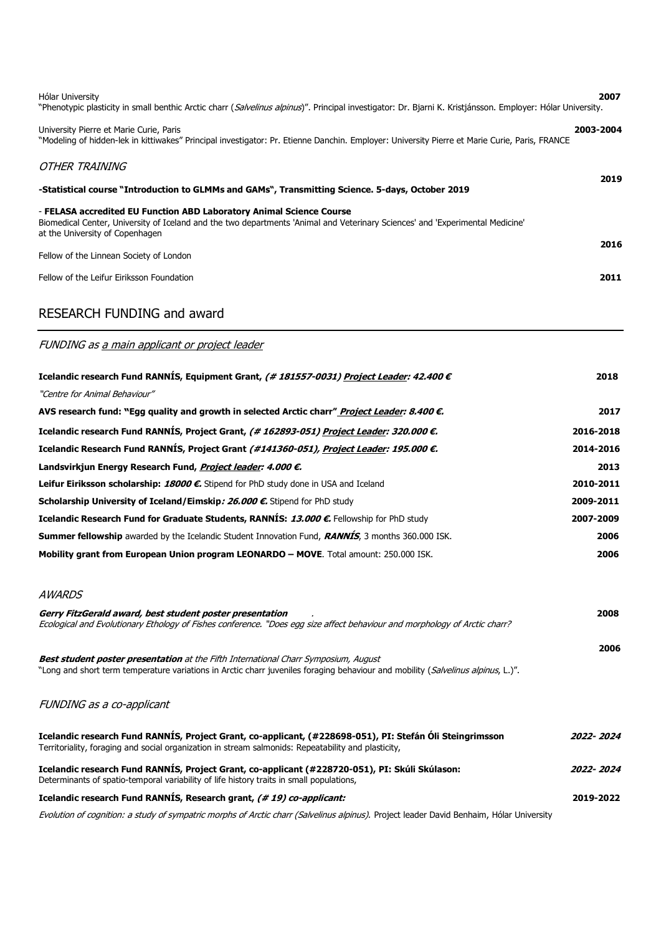| Hólar University<br>"Phenotypic plasticity in small benthic Arctic charr (Salvelinus alpinus)". Principal investigator: Dr. Bjarni K. Kristjánsson. Employer: Hólar University.                                                          | 2007       |
|------------------------------------------------------------------------------------------------------------------------------------------------------------------------------------------------------------------------------------------|------------|
| University Pierre et Marie Curie, Paris<br>"Modeling of hidden-lek in kittiwakes" Principal investigator: Pr. Etienne Danchin. Employer: University Pierre et Marie Curie, Paris, FRANCE                                                 | 2003-2004  |
| OTHER TRAINING                                                                                                                                                                                                                           |            |
| -Statistical course "Introduction to GLMMs and GAMs", Transmitting Science. 5-days, October 2019                                                                                                                                         | 2019       |
| - FELASA accredited EU Function ABD Laboratory Animal Science Course<br>Biomedical Center, University of Iceland and the two departments 'Animal and Veterinary Sciences' and 'Experimental Medicine'<br>at the University of Copenhagen |            |
| Fellow of the Linnean Society of London                                                                                                                                                                                                  | 2016       |
| Fellow of the Leifur Eiriksson Foundation                                                                                                                                                                                                | 2011       |
| <b>RESEARCH FUNDING and award</b>                                                                                                                                                                                                        |            |
| FUNDING as a main applicant or project leader                                                                                                                                                                                            |            |
| Icelandic research Fund RANNÍS, Equipment Grant, (# 181557-0031) Project Leader: 42.400 €<br>"Centre for Animal Behaviour"                                                                                                               | 2018       |
| AVS research fund: "Egg quality and growth in selected Arctic charr" Project Leader: 8.400 €.                                                                                                                                            | 2017       |
| Icelandic research Fund RANNÍS, Project Grant, (# 162893-051) Project Leader: 320.000 €.                                                                                                                                                 | 2016-2018  |
| Icelandic Research Fund RANNÍS, Project Grant (#141360-051), Project Leader: 195.000 €.                                                                                                                                                  | 2014-2016  |
| Landsvirkjun Energy Research Fund, <i>Project leader: 4.000 €.</i>                                                                                                                                                                       | 2013       |
| Leifur Eiriksson scholarship: 18000 €. Stipend for PhD study done in USA and Iceland                                                                                                                                                     | 2010-2011  |
| <b>Scholarship University of Iceland/Eimskip: 26.000 <math>\epsilon</math>.</b> Stipend for PhD study                                                                                                                                    | 2009-2011  |
| Icelandic Research Fund for Graduate Students, RANNIS: 13.000 €. Fellowship for PhD study                                                                                                                                                | 2007-2009  |
| <b>Summer fellowship</b> awarded by the Icelandic Student Innovation Fund, <b>RANNIS</b> , 3 months 360.000 ISK.                                                                                                                         | 2006       |
| <b>Mobility grant from European Union program LEONARDO – MOVE.</b> Total amount: 250.000 ISK.                                                                                                                                            | 2006       |
| <i>AWARDS</i>                                                                                                                                                                                                                            |            |
| Gerry FitzGerald award, best student poster presentation<br>Ecological and Evolutionary Ethology of Fishes conference. "Does egg size affect behaviour and morphology of Arctic charr?                                                   | 2008       |
| <b>Best student poster presentation</b> at the Fifth International Charr Symposium, August<br>"Long and short term temperature variations in Arctic charr juveniles foraging behaviour and mobility (Salvelinus alpinus, L.)".           | 2006       |
| <b>FUNDING as a co-applicant</b>                                                                                                                                                                                                         |            |
| Icelandic research Fund RANNÍS, Project Grant, co-applicant, (#228698-051), PI: Stefán Óli Steingrimsson<br>Territoriality, foraging and social organization in stream salmonids: Repeatability and plasticity,                          | 2022-2024  |
| Icelandic research Fund RANNÍS, Project Grant, co-applicant (#228720-051), PI: Skúli Skúlason:<br>Determinants of spatio-temporal variability of life history traits in small populations,                                               | 2022- 2024 |
| Icelandic research Fund RANNIS, Research grant, (#19) co-applicant:                                                                                                                                                                      | 2019-2022  |
| Evolution of cognition: a study of sympatric morphs of Arctic charr (Salvelinus alpinus). Project leader David Benhaim, Hólar University                                                                                                 |            |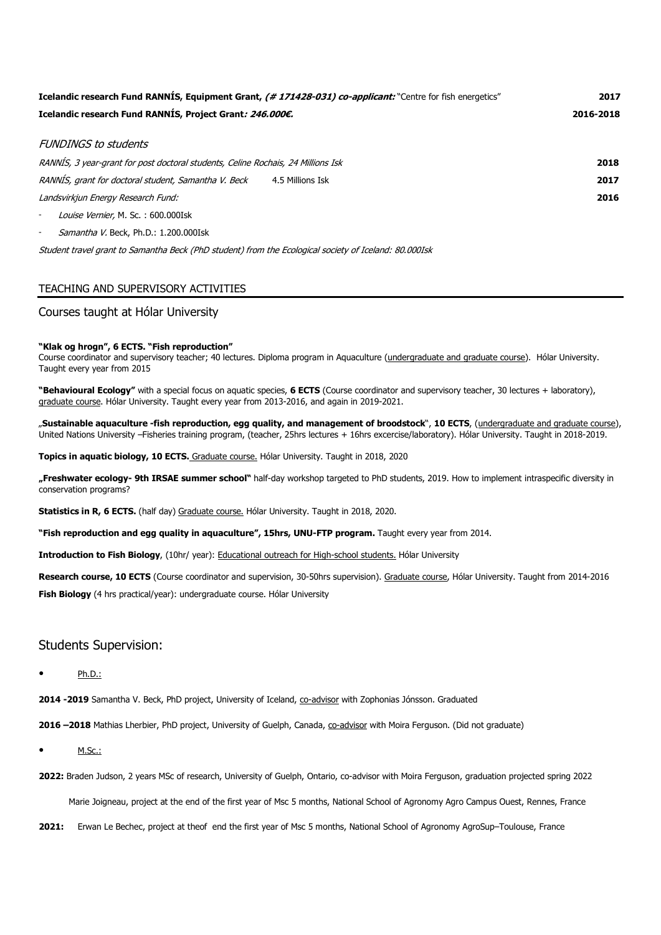| Icelandic research Fund RANNIS, Equipment Grant, (#171428-031) co-applicant: "Centre for fish energetics"<br>Icelandic research Fund RANNIS, Project Grant: 246.000€. | 2017<br>2016-2018 |
|-----------------------------------------------------------------------------------------------------------------------------------------------------------------------|-------------------|
| FUNDINGS to students                                                                                                                                                  |                   |
| RANNIS, 3 year-grant for post doctoral students, Celine Rochais, 24 Millions Isk                                                                                      | 2018              |
| RANNIS, grant for doctoral student, Samantha V. Beck<br>4.5 Millions Isk                                                                                              | 2017              |
| Landsvirkjun Energy Research Fund:                                                                                                                                    | 2016              |
| Louise Vernier, M. Sc.: 600.000Isk<br>$\overline{\phantom{a}}$                                                                                                        |                   |
| Samantha V. Beck, Ph.D.: 1.200.000Isk<br>$\overline{\phantom{a}}$                                                                                                     |                   |

Student travel grant to Samantha Beck (PhD student) from the Ecological society of Iceland: 80.000Isk

## TEACHING AND SUPERVISORY ACTIVITIES

## Courses taught at Hólar University

### "Klak og hrogn", 6 ECTS. "Fish reproduction"

Course coordinator and supervisory teacher; 40 lectures. Diploma program in Aquaculture (undergraduate and graduate course). Hólar University. Taught every year from 2015

"Behavioural Ecology" with a special focus on aquatic species, 6 ECTS (Course coordinator and supervisory teacher, 30 lectures + laboratory), graduate course. Hólar University. Taught every year from 2013-2016, and again in 2019-2021.

"Sustainable aquaculture -fish reproduction, egg quality, and management of broodstock", 10 ECTS, (undergraduate and graduate course), United Nations University –Fisheries training program, (teacher, 25hrs lectures + 16hrs excercise/laboratory). Hólar University. Taught in 2018-2019.

Topics in aquatic biology, 10 ECTS. Graduate course. Hólar University. Taught in 2018, 2020

"Freshwater ecology- 9th IRSAE summer school" half-day workshop targeted to PhD students, 2019. How to implement intraspecific diversity in conservation programs?

Statistics in R, 6 ECTS. (half day) Graduate course. Hólar University. Taught in 2018, 2020.

"Fish reproduction and egg quality in aquaculture", 15hrs, UNU-FTP program. Taught every year from 2014.

Introduction to Fish Biology, (10hr/ year): Educational outreach for High-school students. Hólar University

Research course, 10 ECTS (Course coordinator and supervision, 30-50hrs supervision). Graduate course, Hólar University. Taught from 2014-2016 Fish Biology (4 hrs practical/year): undergraduate course. Hólar University

## Students Supervision:

Ph.D.:

2014 -2019 Samantha V. Beck, PhD project, University of Iceland, co-advisor with Zophonias Jónsson. Graduated

2016 -2018 Mathias Lherbier, PhD project, University of Guelph, Canada, co-advisor with Moira Ferguson. (Did not graduate)

M.Sc.:

2022: Braden Judson, 2 years MSc of research, University of Guelph, Ontario, co-advisor with Moira Ferguson, graduation projected spring 2022

Marie Joigneau, project at the end of the first year of Msc 5 months, National School of Agronomy Agro Campus Ouest, Rennes, France

2021: Erwan Le Bechec, project at theof end the first year of Msc 5 months, National School of Agronomy AgroSup-Toulouse, France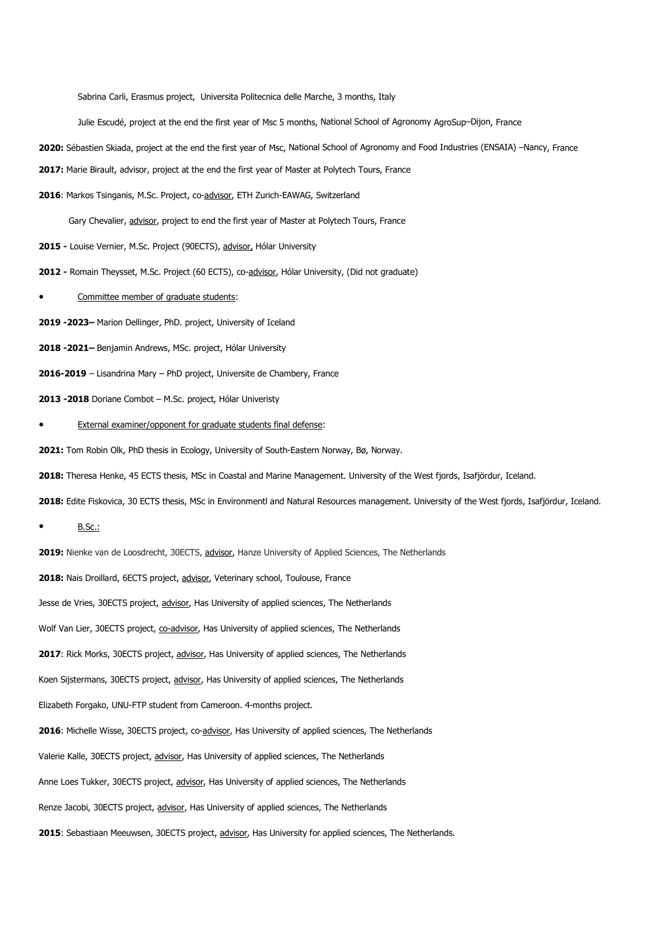Sabrina Carli, Erasmus project, Universita Politecnica delle Marche, 3 months, Italy

Julie Escudé, project at the end the first year of Msc 5 months, National School of Agronomy AgroSup–Dijon, France

- 2020: Sébastien Skiada, project at the end the first year of Msc, National School of Agronomy and Food Industries (ENSAIA) –Nancy, France
- 2017: Marie Birault, advisor, project at the end the first year of Master at Polytech Tours, France
- 2016: Markos Tsinganis, M.Sc. Project, co-advisor, ETH Zurich-EAWAG, Switzerland

Gary Chevalier, advisor, project to end the first year of Master at Polytech Tours, France

- 2015 Louise Vernier, M.Sc. Project (90ECTS), advisor, Hólar University
- 2012 Romain Theysset, M.Sc. Project (60 ECTS), co-advisor, Hólar University, (Did not graduate)
- Committee member of graduate students:
- 2019 -2023– Marion Dellinger, PhD. project, University of Iceland
- 2018 -2021– Benjamin Andrews, MSc. project, Hólar University
- 2016-2019 Lisandrina Mary PhD project, Universite de Chambery, France
- 2013 -2018 Doriane Combot M.Sc. project, Hólar Univeristy
- External examiner/opponent for graduate students final defense:

2021: Tom Robin Olk, PhD thesis in Ecology, University of South-Eastern Norway, Bø, Norway.

2018: Theresa Henke, 45 ECTS thesis, MSc in Coastal and Marine Management. University of the West fjords, Isafjördur, Iceland.

2018: Edite Fiskovica, 30 ECTS thesis, MSc in Environmentl and Natural Resources management. University of the West fjords, Isafjördur, Iceland.

B.Sc.:

2019: Nienke van de Loosdrecht, 30ECTS, advisor, Hanze University of Applied Sciences, The Netherlands 2018: Nais Droillard, 6ECTS project, advisor, Veterinary school, Toulouse, France Jesse de Vries, 30ECTS project, advisor, Has University of applied sciences, The Netherlands Wolf Van Lier, 30ECTS project, co-advisor, Has University of applied sciences, The Netherlands 2017: Rick Morks, 30ECTS project, advisor, Has University of applied sciences, The Netherlands Koen Sijstermans, 30ECTS project, advisor, Has University of applied sciences, The Netherlands Elizabeth Forgako, UNU-FTP student from Cameroon. 4-months project. 2016: Michelle Wisse, 30ECTS project, co-advisor, Has University of applied sciences, The Netherlands Valerie Kalle, 30ECTS project, advisor, Has University of applied sciences, The Netherlands Anne Loes Tukker, 30ECTS project, advisor, Has University of applied sciences, The Netherlands Renze Jacobi, 30ECTS project, advisor, Has University of applied sciences, The Netherlands 2015: Sebastiaan Meeuwsen, 30ECTS project, advisor, Has University for applied sciences, The Netherlands.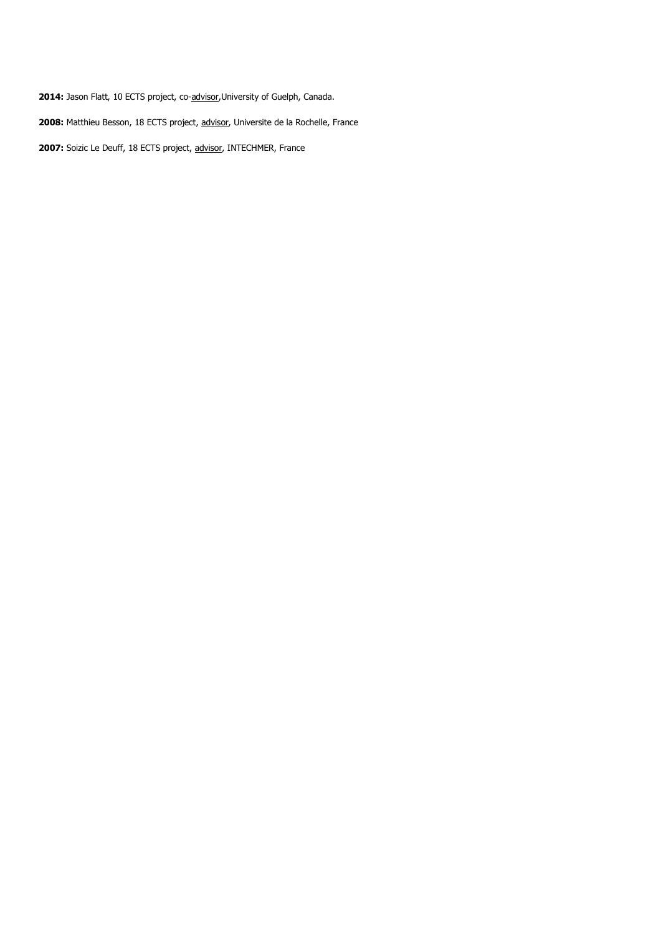2014: Jason Flatt, 10 ECTS project, co-advisor, University of Guelph, Canada.

2008: Matthieu Besson, 18 ECTS project, advisor, Universite de la Rochelle, France

2007: Soizic Le Deuff, 18 ECTS project, advisor, INTECHMER, France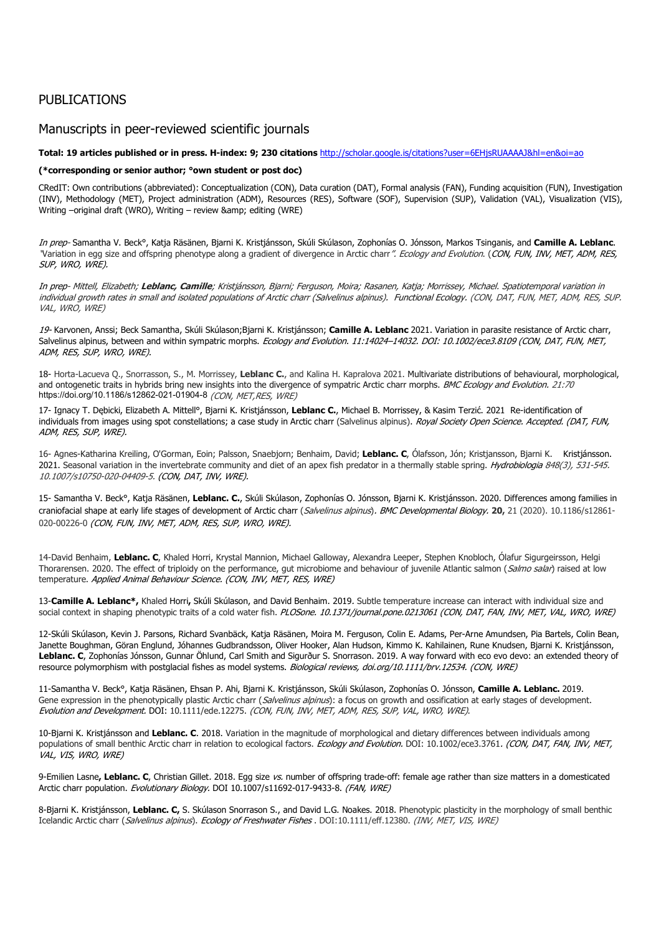# PUBLICATIONS

## Manuscripts in peer-reviewed scientific journals

### Total: 19 articles published or in press. H-index: 9; 230 citations http://scholar.google.is/citations?user=6EHjsRUAAAAJ&hl=en&oi=ao

### (\*corresponding or senior author; °own student or post doc)

CRedIT: Own contributions (abbreviated): Conceptualization (CON), Data curation (DAT), Formal analysis (FAN), Funding acquisition (FUN), Investigation (INV), Methodology (MET), Project administration (ADM), Resources (RES), Software (SOF), Supervision (SUP), Validation (VAL), Visualization (VIS), Writing –original draft (WRO), Writing – review & amp; editing (WRE)

In prep- Samantha V. Beck<sup>o</sup>, Katja Räsänen, Bjarni K. Kristjánsson, Skúli Skúlason, Zophonías O. Jónsson, Markos Tsinganis, and Camille A. Leblanc. "Variation in egg size and offspring phenotype along a gradient of divergence in Arctic charr". Ecology and Evolution. (CON, FUN, INV, MET, ADM, RES, SUP, WRO, WRE).

In prep- Mittell, Elizabeth; Leblanc, Camille; Kristjánsson, Bjarni; Ferguson, Moira; Rasanen, Katja; Morrissey, Michael. Spatiotemporal variation in individual growth rates in small and isolated populations of Arctic charr (Salvelinus alpinus). Functional Ecology. (CON, DAT, FUN, MET, ADM, RES, SUP. VAL, WRO, WRE)

19- Karvonen, Anssi; Beck Samantha, Skúli Skúlason;Bjarni K. Kristjánsson; Camille A. Leblanc 2021. Variation in parasite resistance of Arctic charr, Salvelinus alpinus, between and within sympatric morphs. Ecology and Evolution. 11:14024-14032. DOI: 10.1002/ece3.8109 (CON, DAT, FUN, MET, ADM, RES, SUP, WRO, WRE).

18- Horta-Lacueva Q., Snorrasson, S., M. Morrissey, Leblanc C., and Kalina H. Kapralova 2021. Multivariate distributions of behavioural, morphological, and ontogenetic traits in hybrids bring new insights into the divergence of sympatric Arctic charr morphs. BMC Ecology and Evolution. 21:70 https://doi.org/10.1186/s12862-021-01904-8 (CON, MET, RES, WRE)

17- Ignacy T. Dębicki, Elizabeth A. Mittell°, Bjarni K. Kristjánsson, Leblanc C., Michael B. Morrissey, & Kasim Terzić. 2021 Re-identification of individuals from images using spot constellations; a case study in Arctic charr (Salvelinus alpinus). Royal Society Open Science. Accepted. (DAT, FUN, ADM, RES, SUP, WRE).

16- Agnes-Katharina Kreiling, O'Gorman, Eoin; Palsson, Snaebjorn; Benhaim, David; Leblanc. C, Ólafsson, Jón; Kristjansson, Bjarni K. Kristjánsson. 2021. Seasonal variation in the invertebrate community and diet of an apex fish predator in a thermally stable spring. Hydrobiologia 848(3), 531-545. 10.1007/s10750-020-04409-5. (CON, DAT, INV, WRE).

15- Samantha V. Beck<sup>o</sup>, Katja Räsänen, Leblanc. C., Skúli Skúlason, Zophonías O. Jónsson, Bjarni K. Kristjánsson. 2020. Differences among families in craniofacial shape at early life stages of development of Arctic charr (Salvelinus alpinus). BMC Developmental Biology. 20, 21 (2020). 10.1186/s12861-020-00226-0 (CON, FUN, INV, MET, ADM, RES, SUP, WRO, WRE).

14-David Benhaim, Leblanc. C, Khaled Horri, Krystal Mannion, Michael Galloway, Alexandra Leeper, Stephen Knobloch, Ólafur Sigurgeirsson, Helgi Thorarensen. 2020. The effect of triploidy on the performance, gut microbiome and behaviour of juvenile Atlantic salmon (Salmo salar) raised at low temperature. Applied Animal Behaviour Science. (CON, INV, MET, RES, WRE)

13-Camille A. Leblanc\*, Khaled Horri, Skúli Skúlason, and David Benhaim. 2019. Subtle temperature increase can interact with individual size and social context in shaping phenotypic traits of a cold water fish. PLOSone. 10.1371/journal.pone.0213061 (CON, DAT, FAN, INV, MET, VAL, WRO, WRE)

12-Skúli Skúlason, Kevin J. Parsons, Richard Svanbäck, Katja Räsänen, Moira M. Ferguson, Colin E. Adams, Per-Arne Amundsen, Pia Bartels, Colin Bean, Janette Boughman, Göran Englund, Jóhannes Gudbrandsson, Oliver Hooker, Alan Hudson, Kimmo K. Kahilainen, Rune Knudsen, Bjarni K. Kristjánsson, Leblanc. C, Zophonías Jónsson, Gunnar Öhlund, Carl Smith and Sigurður S. Snorrason. 2019. A way forward with eco evo devo: an extended theory of resource polymorphism with postglacial fishes as model systems. Biological reviews, doi.org/10.1111/brv.12534. (CON, WRE)

11-Samantha V. Beck°, Katja Räsänen, Ehsan P. Ahi, Bjarni K. Kristjánsson, Skúli Skúlason, Zophonías O. Jónsson, Camille A. Leblanc. 2019. Gene expression in the phenotypically plastic Arctic charr (Salvelinus alpinus): a focus on growth and ossification at early stages of development. Evolution and Development. DOI: 10.1111/ede.12275. (CON, FUN, INV, MET, ADM, RES, SUP, VAL, WRO, WRE).

10-Bjarni K. Kristjánsson and Leblanc. C. 2018. Variation in the magnitude of morphological and dietary differences between individuals among populations of small benthic Arctic charr in relation to ecological factors. Ecology and Evolution. DOI: 10.1002/ece3.3761. (CON, DAT, FAN, INV, MET, VAL, VIS, WRO, WRE)

9-Emilien Lasne, Leblanc. C, Christian Gillet. 2018. Egg size vs. number of offspring trade-off: female age rather than size matters in a domesticated Arctic charr population. Evolutionary Biology. DOI 10.1007/s11692-017-9433-8. (FAN, WRE)

8-Bjarni K. Kristjánsson, Leblanc. C, S. Skúlason Snorrason S., and David L.G. Noakes. 2018. Phenotypic plasticity in the morphology of small benthic Icelandic Arctic charr (Salvelinus alpinus). Ecology of Freshwater Fishes . DOI:10.1111/eff.12380. (INV, MET, VIS, WRE)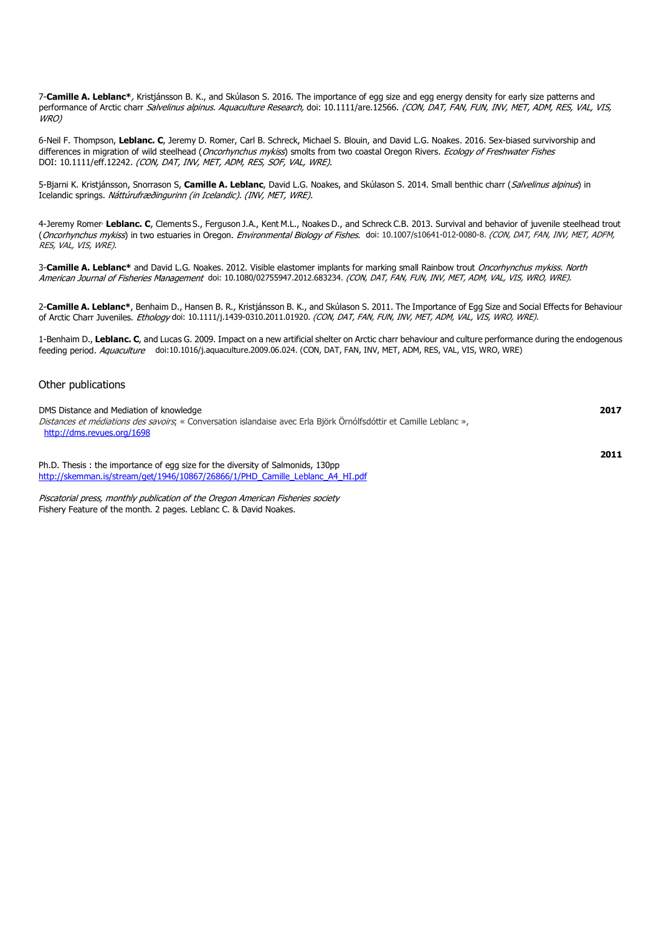7-Camille A. Leblanc<sup>\*</sup>, Kristiánsson B. K., and Skúlason S. 2016. The importance of egg size and egg energy density for early size patterns and performance of Arctic charr Salvelinus alpinus. Aquaculture Research, doi: 10.1111/are.12566. (CON, DAT, FAN, FUN, INV, MET, ADM, RES, VAL, VIS, WRO)

6-Neil F. Thompson, Leblanc. C, Jeremy D. Romer, Carl B. Schreck, Michael S. Blouin, and David L.G. Noakes. 2016. Sex-biased survivorship and differences in migration of wild steelhead (Oncorhynchus mykiss) smolts from two coastal Oregon Rivers. Ecology of Freshwater Fishes DOI: 10.1111/eff.12242. (CON, DAT, INV, MET, ADM, RES, SOF, VAL, WRE).

5-Bjarni K. Kristjánsson, Snorrason S, Camille A. Leblanc, David L.G. Noakes, and Skúlason S. 2014. Small benthic charr (Salvelinus alpinus) in Icelandic springs. Náttúrufræðingurinn (in Icelandic). (INV, MET, WRE).

4-Jeremy Romer<sup>,</sup> Leblanc. C, Clements S., Ferguson J.A., Kent M.L., Noakes D., and Schreck C.B. 2013. Survival and behavior of juvenile steelhead trout (Oncorhynchus mykiss) in two estuaries in Oregon. Environmental Biology of Fishes. doi: 10.1007/s10641-012-0080-8. (CON, DAT, FAN, INV, MET, ADFM, RES, VAL, VIS, WRE).

3-Camille A. Leblanc<sup>\*</sup> and David L.G. Noakes. 2012. Visible elastomer implants for marking small Rainbow trout Oncorhynchus mykiss. North American Journal of Fisheries Management doi: 10.1080/02755947.2012.683234. (CON, DAT, FAN, FUN, INV, MET, ADM, VAL, VIS, WRO, WRE).

2-Camille A. Leblanc<sup>\*</sup>, Benhaim D., Hansen B. R., Kristjánsson B. K., and Skúlason S. 2011. The Importance of Egg Size and Social Effects for Behaviour of Arctic Charr Juveniles. Ethology doi: 10.1111/j.1439-0310.2011.01920. (CON, DAT, FAN, FUN, INV, MET, ADM, VAL, VIS, WRO, WRE).

1-Benhaim D., Leblanc. C, and Lucas G. 2009. Impact on a new artificial shelter on Arctic charr behaviour and culture performance during the endogenous feeding period. Aquaculture doi:10.1016/j.aquaculture.2009.06.024. (CON, DAT, FAN, INV, MET, ADM, RES, VAL, VIS, WRO, WRE)

### Other publications

| DMS Distance and Mediation of knowledge<br>Distances et médiations des savoirs, « Conversation islandaise avec Erla Björk Örnólfsdóttir et Camille Leblanc »,<br>http://dms.revues.org/1698 | 2017 |
|---------------------------------------------------------------------------------------------------------------------------------------------------------------------------------------------|------|
|                                                                                                                                                                                             | 2011 |

Ph.D. Thesis : the importance of egg size for the diversity of Salmonids, 130pp http://skemman.is/stream/get/1946/10867/26866/1/PHD\_Camille\_Leblanc\_A4\_HI.pdf

Piscatorial press, monthly publication of the Oregon American Fisheries society Fishery Feature of the month. 2 pages. Leblanc C. & David Noakes.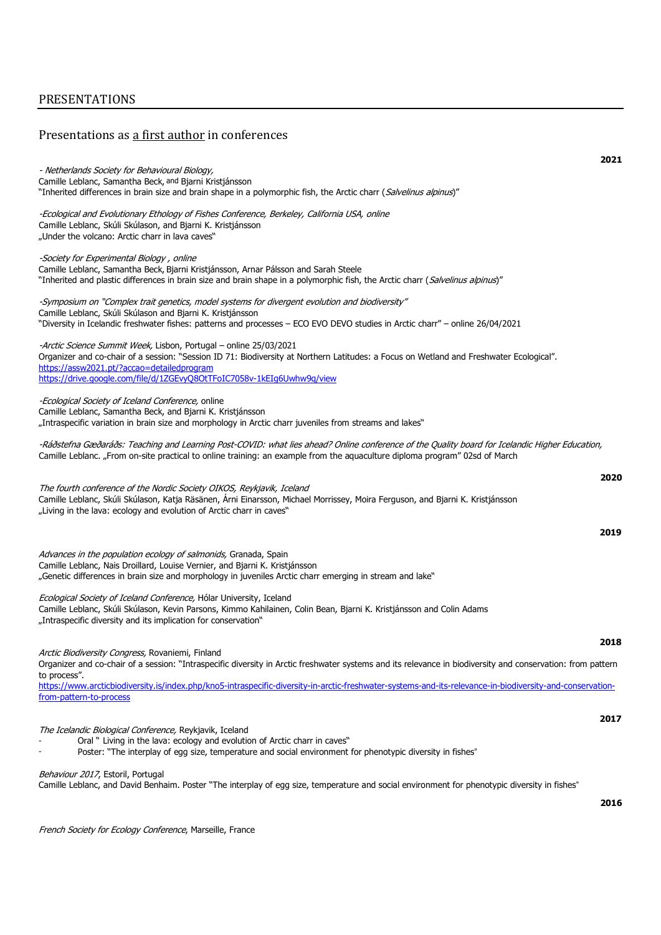## PRESENTATIONS

## Presentations as a first author in conferences

2021 - Netherlands Society for Behavioural Biology, Camille Leblanc, Samantha Beck, and Bjarni Kristjánsson "Inherited differences in brain size and brain shape in a polymorphic fish, the Arctic charr (Salvelinus alpinus)" -Ecological and Evolutionary Ethology of Fishes Conference, Berkeley, California USA, online Camille Leblanc, Skúli Skúlason, and Bjarni K. Kristjánsson "Under the volcano: Arctic charr in lava caves" -Society for Experimental Biology , online Camille Leblanc, Samantha Beck, Bjarni Kristjánsson, Arnar Pálsson and Sarah Steele "Inherited and plastic differences in brain size and brain shape in a polymorphic fish, the Arctic charr (Salvelinus alpinus)" -Symposium on "Complex trait genetics, model systems for divergent evolution and biodiversity" Camille Leblanc, Skúli Skúlason and Bjarni K. Kristjánsson "Diversity in Icelandic freshwater fishes: patterns and processes – ECO EVO DEVO studies in Arctic charr" – online 26/04/2021 -Arctic Science Summit Week, Lisbon, Portugal - online 25/03/2021 *-Arctic Science Summit Week,* Lisbon, Portugal – online 25/03/2021<br>Organizer and co-chair of a session: "Session ID 71: Biodiversity at Northern Latitudes: a Focus on Wetland and Freshwater Ecological". https://assw2021.pt/?accao=detailedprogram https://drive.google.com/file/d/1ZGEvyQ8OtTFoIC7058v-1kEIg6Uwhw9q/view -Ecological Society of Iceland Conference, online Camille Leblanc, Samantha Beck, and Bjarni K. Kristjánsson "Intraspecific variation in brain size and morphology in Arctic charr juveniles from streams and lakes" -Ráðstefna Gæðaráðs: Teaching and Learning Post-COVID: what lies ahead? Online conference of the Quality board for Icelandic Higher Education, Camille Leblanc. "From on-site practical to online training: an example from the aquaculture diploma program" 02sd of March 2020 The fourth conference of the Nordic Society OIKOS, Reykjavik, Iceland Camille Leblanc, Skúli Skúlason, Katja Rӓsӓnen, Árni Einarsson, Michael Morrissey, Moira Ferguson, and Bjarni K. Kristjánsson "Living in the lava: ecology and evolution of Arctic charr in caves" 2019 Advances in the population ecology of salmonids, Granada, Spain Camille Leblanc, Nais Droillard, Louise Vernier, and Bjarni K. Kristjánsson "Genetic differences in brain size and morphology in juveniles Arctic charr emerging in stream and lake" Ecological Society of Iceland Conference, Hólar University, Iceland Camille Leblanc, Skúli Skúlason, Kevin Parsons, Kimmo Kahilainen, Colin Bean, Bjarni K. Kristjánsson and Colin Adams "Intraspecific diversity and its implication for conservation" 2018 Arctic Biodiversity Congress, Rovaniemi, Finland Organizer and co-chair of a session: "Intraspecific diversity in Arctic freshwater systems and its relevance in biodiversity and conservation: from pattern to process". https://www.arcticbiodiversity.is/index.php/kno5-intraspecific-diversity-in-arctic-freshwater-systems-and-its-relevance-in-biodiversity-and-conservationfrom-pattern-to-process 2017 The Icelandic Biological Conference, Reykjavik, Iceland Oral " Living in the lava: ecology and evolution of Arctic charr in caves" Poster: "The interplay of egg size, temperature and social environment for phenotypic diversity in fishes"

French Society for Ecology Conference, Marseille, France

Behaviour 2017, Estoril, Portugal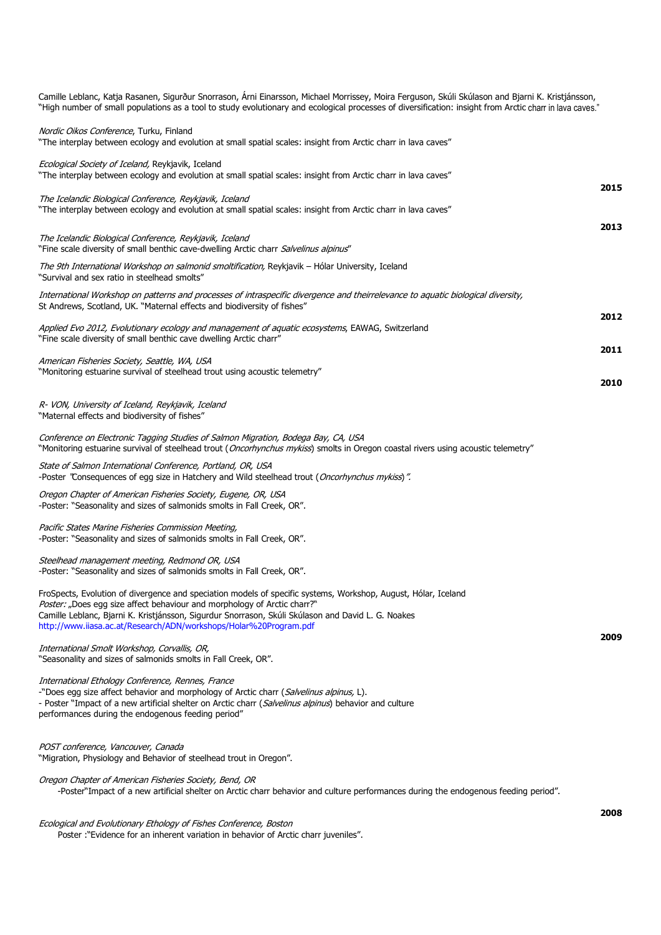Camille Leblanc, Katja Rasanen, Sigurður Snorrason, Arni Einarsson, Michael Morrissey, Moira Ferguson, Skúli Skúlason and Bjarni K. Kristjánsson, "High number of small populations as a tool to study evolutionary and ecological processes of diversification: insight from Arctic charr in lava caves."

*Nordic Oikos Conference*, Turku, Finland

"The interplay between ecology and evolution at small spatial scales: insight from Arctic charr in lava caves"

| Ecological Society of Iceland, Reykjavik, Iceland<br>"The interplay between ecology and evolution at small spatial scales: insight from Arctic charr in lava caves"                                                                                                                                                                                                   |      |
|-----------------------------------------------------------------------------------------------------------------------------------------------------------------------------------------------------------------------------------------------------------------------------------------------------------------------------------------------------------------------|------|
| The Icelandic Biological Conference, Reykjavik, Iceland<br>"The interplay between ecology and evolution at small spatial scales: insight from Arctic charr in lava caves"                                                                                                                                                                                             | 2015 |
| The Icelandic Biological Conference, Reykjavik, Iceland<br>"Fine scale diversity of small benthic cave-dwelling Arctic charr Salvelinus alpinus"                                                                                                                                                                                                                      | 2013 |
| The 9th International Workshop on salmonid smoltification, Reykjavik - Hólar University, Iceland<br>"Survival and sex ratio in steelhead smolts"                                                                                                                                                                                                                      |      |
| International Workshop on patterns and processes of intraspecific divergence and theirrelevance to aquatic biological diversity,<br>St Andrews, Scotland, UK. "Maternal effects and biodiversity of fishes"                                                                                                                                                           | 2012 |
| Applied Evo 2012, Evolutionary ecology and management of aquatic ecosystems, EAWAG, Switzerland<br>"Fine scale diversity of small benthic cave dwelling Arctic charr"                                                                                                                                                                                                 | 2011 |
| American Fisheries Society, Seattle, WA, USA<br>"Monitoring estuarine survival of steelhead trout using acoustic telemetry"                                                                                                                                                                                                                                           | 2010 |
| R- VON, University of Iceland, Reykjavik, Iceland<br>"Maternal effects and biodiversity of fishes"                                                                                                                                                                                                                                                                    |      |
| Conference on Electronic Tagging Studies of Salmon Migration, Bodega Bay, CA, USA                                                                                                                                                                                                                                                                                     |      |
| "Monitoring estuarine survival of steelhead trout ( <i>Oncorhynchus mykiss</i> ) smolts in Oregon coastal rivers using acoustic telemetry"<br>State of Salmon International Conference, Portland, OR, USA<br>-Poster "Consequences of egg size in Hatchery and Wild steelhead trout (Oncorhynchus mykiss)".                                                           |      |
| Oregon Chapter of American Fisheries Society, Eugene, OR, USA<br>-Poster: "Seasonality and sizes of salmonids smolts in Fall Creek, OR".                                                                                                                                                                                                                              |      |
| Pacific States Marine Fisheries Commission Meeting,<br>-Poster: "Seasonality and sizes of salmonids smolts in Fall Creek, OR".                                                                                                                                                                                                                                        |      |
| Steelhead management meeting, Redmond OR, USA<br>-Poster: "Seasonality and sizes of salmonids smolts in Fall Creek, OR".                                                                                                                                                                                                                                              |      |
| FroSpects, Evolution of divergence and speciation models of specific systems, Workshop, August, Hólar, Iceland<br>Poster: "Does egg size affect behaviour and morphology of Arctic charr?"<br>Camille Leblanc, Bjarni K. Kristjánsson, Sigurdur Snorrason, Skúli Skúlason and David L. G. Noakes<br>http://www.iiasa.ac.at/Research/ADN/workshops/Holar%20Program.pdf |      |
| International Smolt Workshop, Corvallis, OR,<br>"Seasonality and sizes of salmonids smolts in Fall Creek, OR".                                                                                                                                                                                                                                                        | 2009 |
| International Ethology Conference, Rennes, France<br>-"Does egg size affect behavior and morphology of Arctic charr (Salvelinus alpinus, L).<br>- Poster "Impact of a new artificial shelter on Arctic charr (Salvelinus alpinus) behavior and culture<br>performances during the endogenous feeding period"                                                          |      |
| POST conference, Vancouver, Canada<br>"Migration, Physiology and Behavior of steelhead trout in Oregon".                                                                                                                                                                                                                                                              |      |
| Oregon Chapter of American Fisheries Society, Bend, OR<br>-Poster"Impact of a new artificial shelter on Arctic charr behavior and culture performances during the endogenous feeding period".                                                                                                                                                                         |      |
| Ecological and Evolutionary Ethology of Fishes Conference, Boston<br>Poster : "Evidence for an inherent variation in behavior of Arctic charr juveniles".                                                                                                                                                                                                             | 2008 |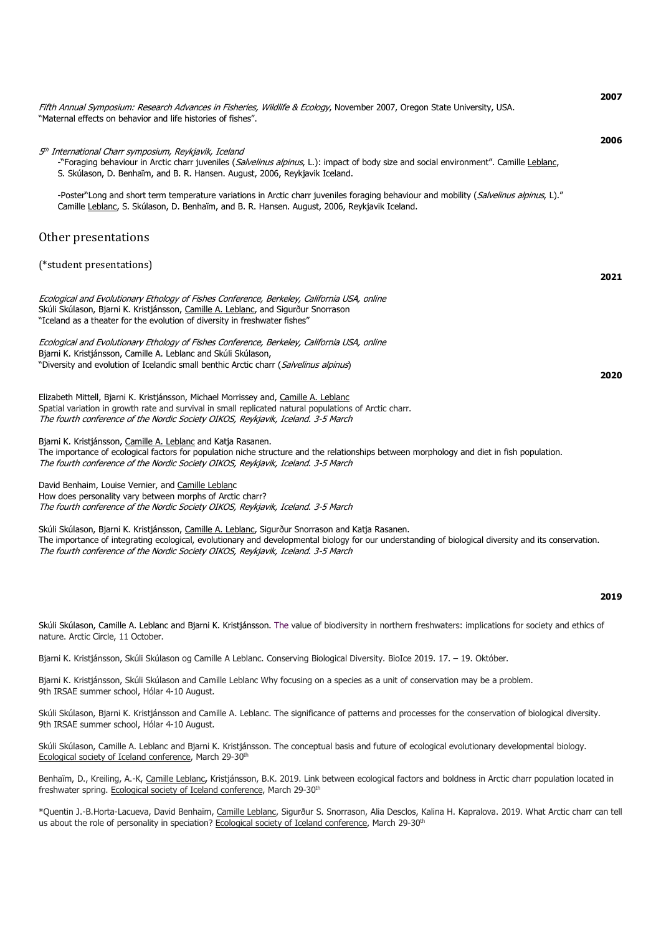2007 Fifth Annual Symposium: Research Advances in Fisheries, Wildlife & Ecology, November 2007, Oregon State University, USA. "Maternal effects on behavior and life histories of fishes". 2006 5th International Charr symposium, Reykjavik, Iceland -"Foraging behaviour in Arctic charr juveniles (Salvelinus alpinus, L.): impact of body size and social environment". Camille Leblanc, S. Skúlason, D. Benhaïm, and B. R. Hansen. August, 2006, Reykjavik Iceland. -Poster"Long and short term temperature variations in Arctic charr juveniles foraging behaviour and mobility (Salvelinus alpinus, L)." Camille Leblanc, S. Skúlason, D. Benhaïm, and B. R. Hansen. August, 2006, Reykjavik Iceland. Other presentations (\*student presentations) 2021 Ecological and Evolutionary Ethology of Fishes Conference, Berkeley, California USA, online Skúli Skúlason, Bjarni K. Kristjánsson, Camille A. Leblanc, and Sigurður Snorrason "Iceland as a theater for the evolution of diversity in freshwater fishes" Ecological and Evolutionary Ethology of Fishes Conference, Berkeley, California USA, online Biarni K. Kristiánsson, Camille A. Leblanc and Skúli Skúlason, "Diversity and evolution of Icelandic small benthic Arctic charr (Salvelinus alpinus) 2020 Elizabeth Mittell, Bjarni K. Kristjánsson, Michael Morrissey and, Camille A. Leblanc Spatial variation in growth rate and survival in small replicated natural populations of Arctic charr. The fourth conference of the Nordic Society OIKOS, Reykjavik, Iceland. 3-5 March Bjarni K. Kristjánsson, Camille A. Leblanc and Katja Rasanen. The importance of ecological factors for population niche structure and the relationships between morphology and diet in fish population. The fourth conference of the Nordic Society OIKOS, Reykjavik, Iceland. 3-5 March David Benhaim, Louise Vernier, and Camille Leblanc How does personality vary between morphs of Arctic charr? The fourth conference of the Nordic Society OIKOS, Reykjavik, Iceland. 3-5 March Skúli Skúlason, Bjarni K. Kristjánsson, Camille A. Leblanc, Sigurður Snorrason and Katja Rasanen. The importance of integrating ecological, evolutionary and developmental biology for our understanding of biological diversity and its conservation. The fourth conference of the Nordic Society OIKOS, Reykjavik, Iceland. 3-5 March 2019 Skúli Skúlason, Camille A. Leblanc and Bjarni K. Kristjánsson. The value of biodiversity in northern freshwaters: implications for society and ethics of nature. Arctic Circle, 11 October. Bjarni K. Kristjánsson, Skúli Skúlason og Camille A Leblanc. Conserving Biological Diversity. BioIce 2019. 17. – 19. Október. Bjarni K. Kristjánsson, Skúli Skúlason and Camille Leblanc Why focusing on a species as a unit of conservation may be a problem. 9th IRSAE summer school, Hólar 4-10 August.

Skúli Skúlason, Bjarni K. Kristjánsson and Camille A. Leblanc. The significance of patterns and processes for the conservation of biological diversity. 9th IRSAE summer school, Hólar 4-10 August.

Skúli Skúlason, Camille A. Leblanc and Bjarni K. Kristjánsson. The conceptual basis and future of ecological evolutionary developmental biology. Ecological society of Iceland conference, March 29-30th

Benhaïm, D., Kreiling, A.-K, Camille Leblanc, Kristjánsson, B.K. 2019. Link between ecological factors and boldness in Arctic charr population located in freshwater spring. Ecological society of Iceland conference, March 29-30th

\*Quentin J.-B.Horta-Lacueva, David Benhaïm, Camille Leblanc, Sigurður S. Snorrason, Alia Desclos, Kalina H. Kapralova. 2019. What Arctic charr can tell us about the role of personality in speciation? Ecological society of Iceland conference, March 29-30<sup>th</sup>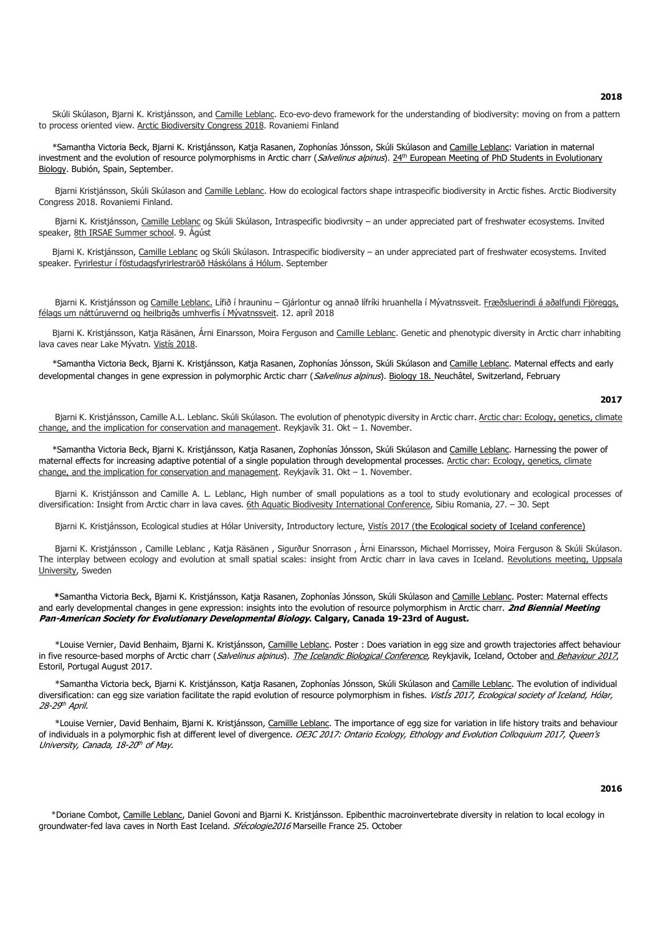Skúli Skúlason, Bjarni K. Kristjánsson, and Camille Leblanc. Eco-evo-devo framework for the understanding of biodiversity: moving on from a pattern to process oriented view. Arctic Biodiversity Congress 2018. Rovaniemi Finland

 \*Samantha Victoria Beck, Bjarni K. Kristjánsson, Katja Rasanen, Zophonías Jónsson, Skúli Skúlason and Camille Leblanc: Variation in maternal investment and the evolution of resource polymorphisms in Arctic charr (Salvelinus alpinus). 24<sup>th</sup> European Meeting of PhD Students in Evolutionary Biology. Bubión, Spain, September.

Bjarni Kristjánsson, Skúli Skúlason and Camille Leblanc. How do ecological factors shape intraspecific biodiversity in Arctic fishes. Arctic Biodiversity Congress 2018. Rovaniemi Finland.

 Bjarni K. Kristjánsson, Camille Leblanc og Skúli Skúlason, Intraspecific biodivrsity – an under appreciated part of freshwater ecosystems. Invited speaker, 8th IRSAE Summer school. 9. Ágúst

 Bjarni K. Kristjánsson, Camille Leblanc og Skúli Skúlason. Intraspecific biodiversity – an under appreciated part of freshwater ecosystems. Invited speaker. Fyrirlestur í föstudagsfyrirlestraröð Háskólans á Hólum. September

 Bjarni K. Kristjánsson og Camille Leblanc. Lífið í hrauninu – Gjárlontur og annað lífríki hruanhella í Mývatnssveit. Fræðsluerindi á aðalfundi Fjöreggs, félags um náttúruvernd og heilbrigðs umhverfis í Mývatnssveit. 12. apríl 2018

Bjarni K. Kristjánsson, Katja Räsänen, Árni Einarsson, Moira Ferguson and Camille Leblanc. Genetic and phenotypic diversity in Arctic charr inhabiting lava caves near Lake Mývatn. Vistís 2018.

\*Samantha Victoria Beck, Bjarni K. Kristjánsson, Katja Rasanen, Zophonías Jónsson, Skúli Skúlason and Camille Leblanc. Maternal effects and early developmental changes in gene expression in polymorphic Arctic charr (Salvelinus alpinus). Biology 18. Neuchâtel, Switzerland, February

#### 2017

Bjarni K. Kristjánsson, Camille A.L. Leblanc. Skúli Skúlason. The evolution of phenotypic diversity in Arctic charr. Arctic char: Ecology, genetics, climate change, and the implication for conservation and management. Reykjavík 31. Okt  $-$  1. November.

\*Samantha Victoria Beck, Bjarni K. Kristjánsson, Katja Rasanen, Zophonías Jónsson, Skúli Skúlason and Camille Leblanc. Harnessing the power of maternal effects for increasing adaptive potential of a single population through developmental processes. Arctic char: Ecology, genetics, climate change, and the implication for conservation and management. Reykjavík 31. Okt - 1. November.

 Bjarni K. Kristjánsson and Camille A. L. Leblanc, High number of small populations as a tool to study evolutionary and ecological processes of diversification: Insight from Arctic charr in lava caves. 6th Aquatic Biodivesity International Conference, Sibiu Romania, 27. - 30. Sept

Bjarni K. Kristjánsson, Ecological studies at Hólar University, Introductory lecture, Vistís 2017 (the Ecological society of Iceland conference)

 Bjarni K. Kristjánsson , Camille Leblanc , Katja Räsänen , Sigurður Snorrason , Árni Einarsson, Michael Morrissey, Moira Ferguson & Skúli Skúlason. The interplay between ecology and evolution at small spatial scales: insight from Arctic charr in lava caves in Iceland. Revolutions meeting, Uppsala University, Sweden

 \*Samantha Victoria Beck, Bjarni K. Kristjánsson, Katja Rasanen, Zophonías Jónsson, Skúli Skúlason and Camille Leblanc. Poster: Maternal effects and early developmental changes in gene expression: insights into the evolution of resource polymorphism in Arctic charr. 2nd Biennial Meeting Pan-American Society for Evolutionary Developmental Biology. Calgary, Canada 19-23rd of August.

 \*Louise Vernier, David Benhaim, Bjarni K. Kristjánsson, Camillle Leblanc. Poster : Does variation in egg size and growth trajectories affect behaviour in five resource-based morphs of Arctic charr (Salvelinus alpinus). The Icelandic Biological Conference, Reykjavik, Iceland, October and Behaviour 2017, Estoril, Portugal August 2017.

 \*Samantha Victoria beck, Bjarni K. Kristjánsson, Katja Rasanen, Zophonías Jónsson, Skúli Skúlason and Camille Leblanc. The evolution of individual diversification: can egg size variation facilitate the rapid evolution of resource polymorphism in fishes. VistÍs 2017, Ecological society of Iceland, Hólar, 28-29<sup>th</sup> April.

\*Louise Vernier, David Benhaim, Bjarni K. Kristjánsson, Camillle Leblanc. The importance of egg size for variation in life history traits and behaviour of individuals in a polymorphic fish at different level of divergence. OE3C 2017: Ontario Ecology, Ethology and Evolution Colloquium 2017, Queen's University, Canada, 18-20th of May.

#### 2016

 \*Doriane Combot, Camille Leblanc, Daniel Govoni and Bjarni K. Kristjánsson. Epibenthic macroinvertebrate diversity in relation to local ecology in groundwater-fed lava caves in North East Iceland. Sfécologie2016 Marseille France 25. October

#### 2018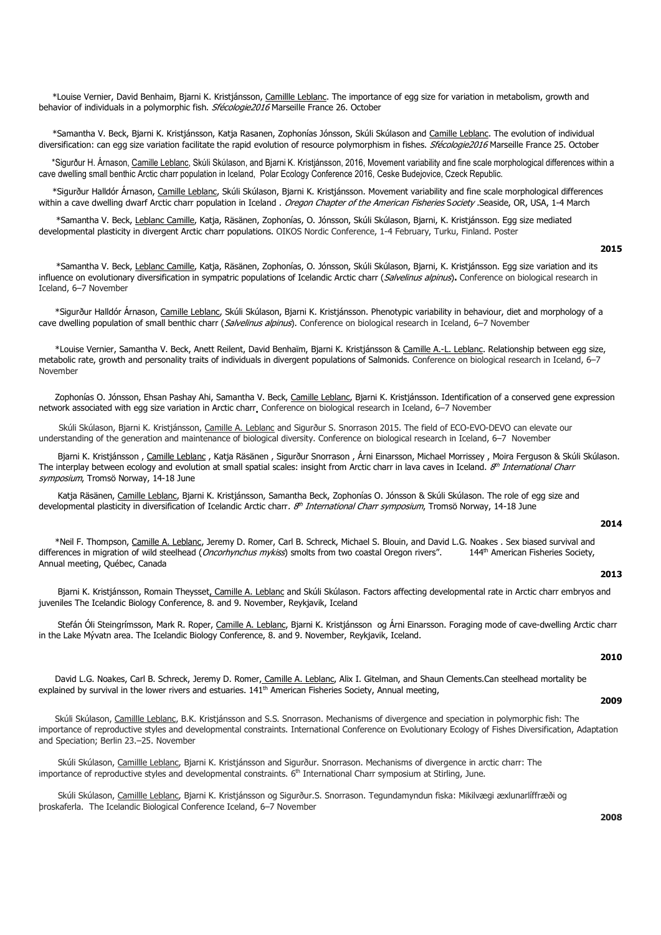\*Louise Vernier, David Benhaim, Bjarni K. Kristjánsson, Camillle Leblanc. The importance of egg size for variation in metabolism, growth and behavior of individuals in a polymorphic fish. Sfécologie2016 Marseille France 26. October

 \*Samantha V. Beck, Bjarni K. Kristjánsson, Katja Rasanen, Zophonías Jónsson, Skúli Skúlason and Camille Leblanc. The evolution of individual diversification: can egg size variation facilitate the rapid evolution of resource polymorphism in fishes. Sfécologie2016 Marseille France 25. October

 \*Sigurður H. Árnason, Camille Leblanc, Skúli Skúlason, and Bjarni K. Kristjánsson, 2016, Movement variability and fine scale morphological differences within a cave dwelling small benthic Arctic charr population in Iceland, Polar Ecology Conference 2016, Ceske Budejovice, Czeck Republic.

 \*Sigurður Halldór Árnason, Camille Leblanc, Skúli Skúlason, Bjarni K. Kristjánsson. Movement variability and fine scale morphological differences within a cave dwelling dwarf Arctic charr population in Iceland . Oregon Chapter of the American Fisheries Society .Seaside, OR, USA, 1-4 March

 \*Samantha V. Beck, Leblanc Camille, Katja, Räsänen, Zophonías, O. Jónsson, Skúli Skúlason, Bjarni, K. Kristjánsson. Egg size mediated developmental plasticity in divergent Arctic charr populations. OIKOS Nordic Conference, 1-4 February, Turku, Finland. Poster

#### 2015

 \*Samantha V. Beck, Leblanc Camille, Katja, Räsänen, Zophonías, O. Jónsson, Skúli Skúlason, Bjarni, K. Kristjánsson. Egg size variation and its influence on evolutionary diversification in sympatric populations of Icelandic Arctic charr (Salvelinus alpinus). Conference on biological research in Iceland, 6–7 November

 \*Sigurður Halldór Árnason, Camille Leblanc, Skúli Skúlason, Bjarni K. Kristjánsson. Phenotypic variability in behaviour, diet and morphology of a cave dwelling population of small benthic charr (Salvelinus alpinus). Conference on biological research in Iceland, 6–7 November

 \*Louise Vernier, Samantha V. Beck, Anett Reilent, David Benhaïm, Bjarni K. Kristjánsson & Camille A.-L. Leblanc. Relationship between egg size, metabolic rate, growth and personality traits of individuals in divergent populations of Salmonids. Conference on biological research in Iceland, 6–7 November

Zophonías O. Jónsson, Ehsan Pashay Ahi, Samantha V. Beck, Camille Leblanc, Bjarni K. Kristjánsson. Identification of a conserved gene expression network associated with egg size variation in Arctic charr. Conference on biological research in Iceland, 6–7 November

Skúli Skúlason, Bjarni K. Kristjánsson, Camille A. Leblanc and Sigurður S. Snorrason 2015. The field of ECO-EVO-DEVO can elevate our understanding of the generation and maintenance of biological diversity. Conference on biological research in Iceland, 6–7 November

Bjarni K. Kristjánsson , Camille Leblanc , Katja Räsänen , Sigurður Snorrason , Árni Einarsson, Michael Morrissey , Moira Ferguson & Skúli Skúlason. The interplay between ecology and evolution at small spatial scales: insight from Arctic charr in lava caves in Iceland. *8<sup>th</sup> International Charr* symposium, Tromsö Norway, 14-18 June

Katia Räsänen, Camille Leblanc, Biarni K. Kristiánsson, Samantha Beck, Zophonías O. Jónsson & Skúli Skúlason. The role of egg size and developmental plasticity in diversification of Icelandic Arctic charr*. 8th International Charr symposium*, Tromsö Norway, 14-18 June

#### 2014

\*Neil F. Thompson, Camille A. Leblanc, Jeremy D. Romer, Carl B. Schreck, Michael S. Blouin, and David L.G. Noakes . Sex biased survival and<br>erences in migration of wild steelhead (*Oncorhynchus mykiss*) smolts from two coa differences in migration of wild steelhead (Oncorhynchus mykiss) smolts from two coastal Oregon rivers". Annual meeting, Québec, Canada

#### $2013$

 Bjarni K. Kristjánsson, Romain Theysset, Camille A. Leblanc and Skúli Skúlason. Factors affecting developmental rate in Arctic charr embryos and juveniles The Icelandic Biology Conference, 8. and 9. November, Reykjavik, Iceland

Stefán Óli Steingrímsson, Mark R. Roper, Camille A. Leblanc, Bjarni K. Kristjánsson og Árni Einarsson. Foraging mode of cave-dwelling Arctic charr in the Lake Mývatn area. The Icelandic Biology Conference, 8. and 9. November, Reykjavik, Iceland.

#### 2010

 David L.G. Noakes, Carl B. Schreck, Jeremy D. Romer, Camille A. Leblanc, Alix I. Gitelman, and Shaun Clements.Can steelhead mortality be explained by survival in the lower rivers and estuaries. 141<sup>th</sup> American Fisheries Society, Annual meeting,

### 2009

Skúli Skúlason, Camillle Leblanc, B.K. Kristjánsson and S.S. Snorrason. Mechanisms of divergence and speciation in polymorphic fish: The importance of reproductive styles and developmental constraints. International Conference on Evolutionary Ecology of Fishes Diversification, Adaptation and Speciation; Berlin 23.–25. November

 Skúli Skúlason, Camillle Leblanc, Bjarni K. Kristjánsson and Sigurður. Snorrason. Mechanisms of divergence in arctic charr: The importance of reproductive styles and developmental constraints.  $6<sup>th</sup>$  International Charr symposium at Stirling, June.

Skúli Skúlason, Camillle Leblanc, Bjarni K. Kristjánsson og Sigurður.S. Snorrason. Tegundamyndun fiska: Mikilvægi æxlunarlíffræði og þroskaferla. The Icelandic Biological Conference Iceland, 6–7 November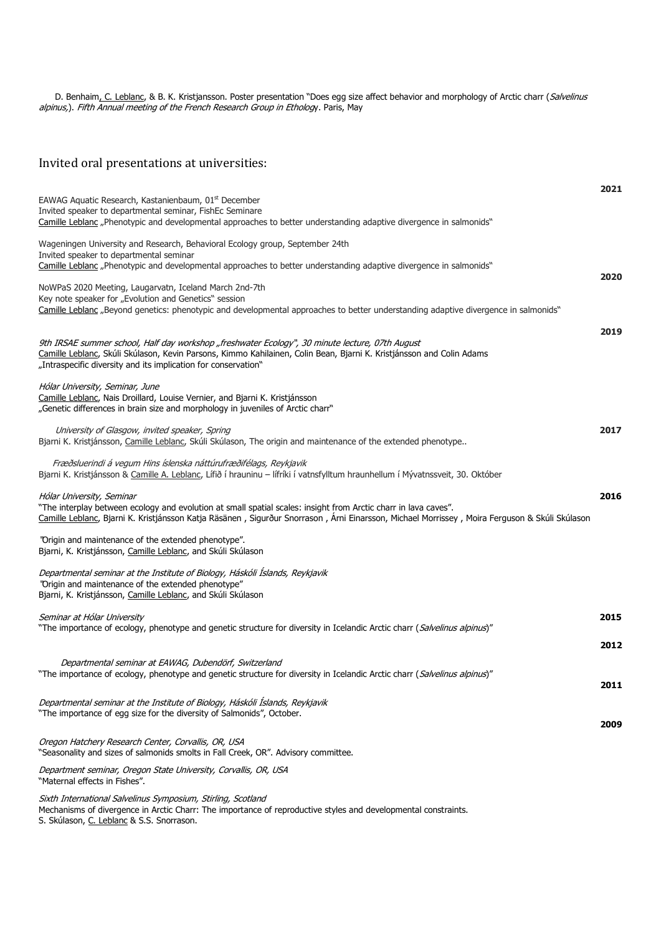D. Benhaim<u>, C. Leblanc</u>, & B. K. Kristjansson. Poster presentation "Does egg size affect behavior and morphology of Arctic charr (*Salvelinus* alpinus,). Fifth Annual meeting of the French Research Group in Ethology. Paris, May

# Invited oral presentations at universities:

|                                                                                                                                                                                                                                                                                               | 2021 |
|-----------------------------------------------------------------------------------------------------------------------------------------------------------------------------------------------------------------------------------------------------------------------------------------------|------|
| EAWAG Aquatic Research, Kastanienbaum, 01 <sup>st</sup> December<br>Invited speaker to departmental seminar, FishEc Seminare<br>Camille Leblanc "Phenotypic and developmental approaches to better understanding adaptive divergence in salmonids"                                            |      |
| Wageningen University and Research, Behavioral Ecology group, September 24th<br>Invited speaker to departmental seminar                                                                                                                                                                       |      |
| Camille Leblanc "Phenotypic and developmental approaches to better understanding adaptive divergence in salmonids"                                                                                                                                                                            | 2020 |
| NoWPaS 2020 Meeting, Laugarvatn, Iceland March 2nd-7th<br>Key note speaker for "Evolution and Genetics" session<br>Camille Leblanc "Beyond genetics: phenotypic and developmental approaches to better understanding adaptive divergence in salmonids"                                        |      |
| 9th IRSAE summer school, Half day workshop "freshwater Ecology", 30 minute lecture, 07th August<br>Camille Leblanc, Skúli Skúlason, Kevin Parsons, Kimmo Kahilainen, Colin Bean, Bjarni K. Kristjánsson and Colin Adams<br>"Intraspecific diversity and its implication for conservation"     | 2019 |
| Hólar University, Seminar, June<br>Camille Leblanc, Nais Droillard, Louise Vernier, and Bjarni K. Kristjánsson<br>"Genetic differences in brain size and morphology in juveniles of Arctic charr"                                                                                             |      |
| University of Glasgow, invited speaker, Spring<br>Bjarni K. Kristjánsson, Camille Leblanc, Skúli Skúlason, The origin and maintenance of the extended phenotype                                                                                                                               | 2017 |
| Fræðsluerindi á vegum Hins íslenska náttúrufræðifélags, Reykjavik<br>Bjarni K. Kristjánsson & Camille A. Leblanc, Lífið í hrauninu - lífríki í vatnsfylltum hraunhellum í Mývatnssveit, 30. Október                                                                                           |      |
| Hólar University, Seminar<br>"The interplay between ecology and evolution at small spatial scales: insight from Arctic charr in lava caves".<br>Camille Leblanc, Bjarni K. Kristjánsson Katja Räsänen, Sigurður Snorrason, Árni Einarsson, Michael Morrissey, Moira Ferguson & Skúli Skúlason | 2016 |
| 'Origin and maintenance of the extended phenotype".<br>Bjarni, K. Kristjánsson, Camille Leblanc, and Skúli Skúlason                                                                                                                                                                           |      |
| Departmental seminar at the Institute of Biology, Háskóli Íslands, Reykjavik<br>'Origin and maintenance of the extended phenotype"<br>Bjarni, K. Kristjánsson, Camille Leblanc, and Skúli Skúlason                                                                                            |      |
| Seminar at Hólar University<br>"The importance of ecology, phenotype and genetic structure for diversity in Icelandic Arctic charr (Salvelinus alpinus)"                                                                                                                                      | 2015 |
| Departmental seminar at EAWAG, Dubendörf, Switzerland                                                                                                                                                                                                                                         | 2012 |
| "The importance of ecology, phenotype and genetic structure for diversity in Icelandic Arctic charr (Salvelinus alpinus)"                                                                                                                                                                     | 2011 |
| Departmental seminar at the Institute of Biology, Háskóli Íslands, Reykjavik<br>"The importance of egg size for the diversity of Salmonids", October.                                                                                                                                         | 2009 |
| Oregon Hatchery Research Center, Corvallis, OR, USA<br>"Seasonality and sizes of salmonids smolts in Fall Creek, OR". Advisory committee.                                                                                                                                                     |      |
| Department seminar, Oregon State University, Corvallis, OR, USA<br>"Maternal effects in Fishes".                                                                                                                                                                                              |      |
| Sixth International Salvelinus Symposium, Stirling, Scotland<br>Mechanisms of divergence in Arctic Charr: The importance of reproductive styles and developmental constraints.                                                                                                                |      |

S. Skúlason, C. Leblanc & S.S. Snorrason.